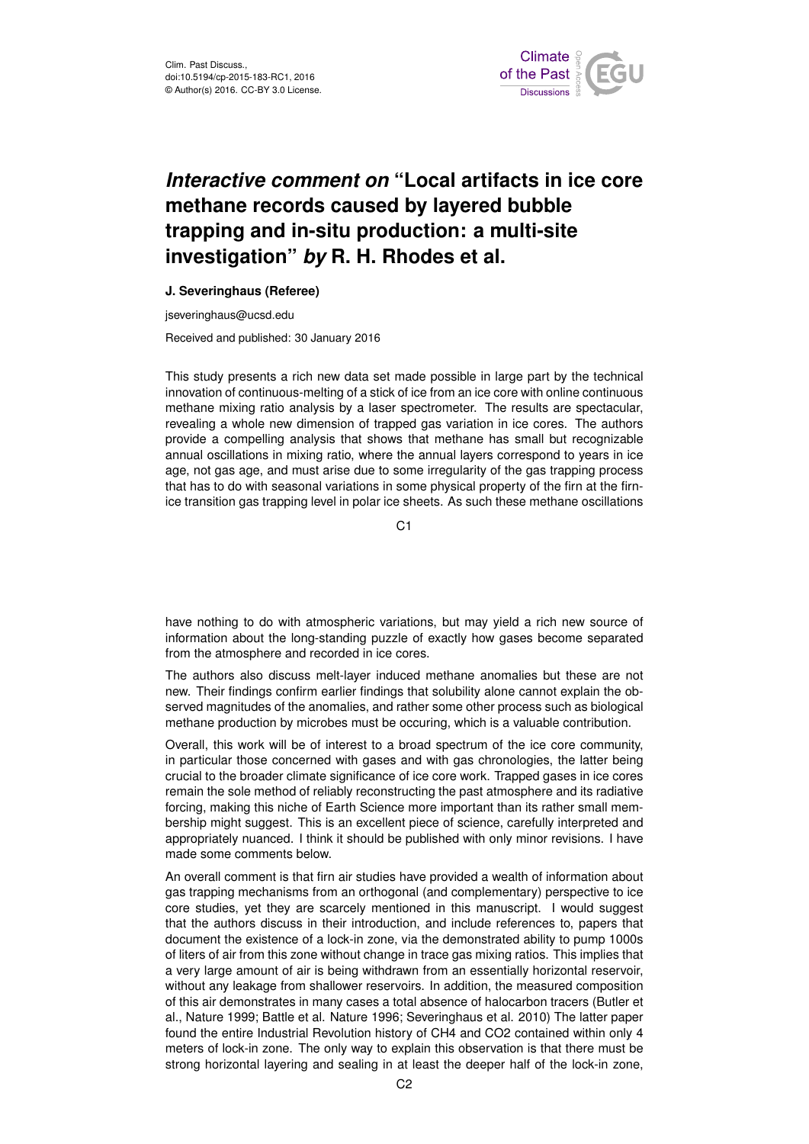

## *Interactive comment on* **"Local artifacts in ice core methane records caused by layered bubble trapping and in-situ production: a multi-site investigation"** *by* **R. H. Rhodes et al.**

## **J. Severinghaus (Referee)**

jseveringhaus@ucsd.edu

Received and published: 30 January 2016

This study presents a rich new data set made possible in large part by the technical innovation of continuous-melting of a stick of ice from an ice core with online continuous methane mixing ratio analysis by a laser spectrometer. The results are spectacular, revealing a whole new dimension of trapped gas variation in ice cores. The authors provide a compelling analysis that shows that methane has small but recognizable annual oscillations in mixing ratio, where the annual layers correspond to years in ice age, not gas age, and must arise due to some irregularity of the gas trapping process that has to do with seasonal variations in some physical property of the firn at the firnice transition gas trapping level in polar ice sheets. As such these methane oscillations

C<sub>1</sub>

have nothing to do with atmospheric variations, but may yield a rich new source of information about the long-standing puzzle of exactly how gases become separated from the atmosphere and recorded in ice cores.

The authors also discuss melt-layer induced methane anomalies but these are not new. Their findings confirm earlier findings that solubility alone cannot explain the observed magnitudes of the anomalies, and rather some other process such as biological methane production by microbes must be occuring, which is a valuable contribution.

Overall, this work will be of interest to a broad spectrum of the ice core community, in particular those concerned with gases and with gas chronologies, the latter being crucial to the broader climate significance of ice core work. Trapped gases in ice cores remain the sole method of reliably reconstructing the past atmosphere and its radiative forcing, making this niche of Earth Science more important than its rather small membership might suggest. This is an excellent piece of science, carefully interpreted and appropriately nuanced. I think it should be published with only minor revisions. I have made some comments below.

An overall comment is that firn air studies have provided a wealth of information about gas trapping mechanisms from an orthogonal (and complementary) perspective to ice core studies, yet they are scarcely mentioned in this manuscript. I would suggest that the authors discuss in their introduction, and include references to, papers that document the existence of a lock-in zone, via the demonstrated ability to pump 1000s of liters of air from this zone without change in trace gas mixing ratios. This implies that a very large amount of air is being withdrawn from an essentially horizontal reservoir, without any leakage from shallower reservoirs. In addition, the measured composition of this air demonstrates in many cases a total absence of halocarbon tracers (Butler et al., Nature 1999; Battle et al. Nature 1996; Severinghaus et al. 2010) The latter paper found the entire Industrial Revolution history of CH4 and CO2 contained within only 4 meters of lock-in zone. The only way to explain this observation is that there must be strong horizontal layering and sealing in at least the deeper half of the lock-in zone,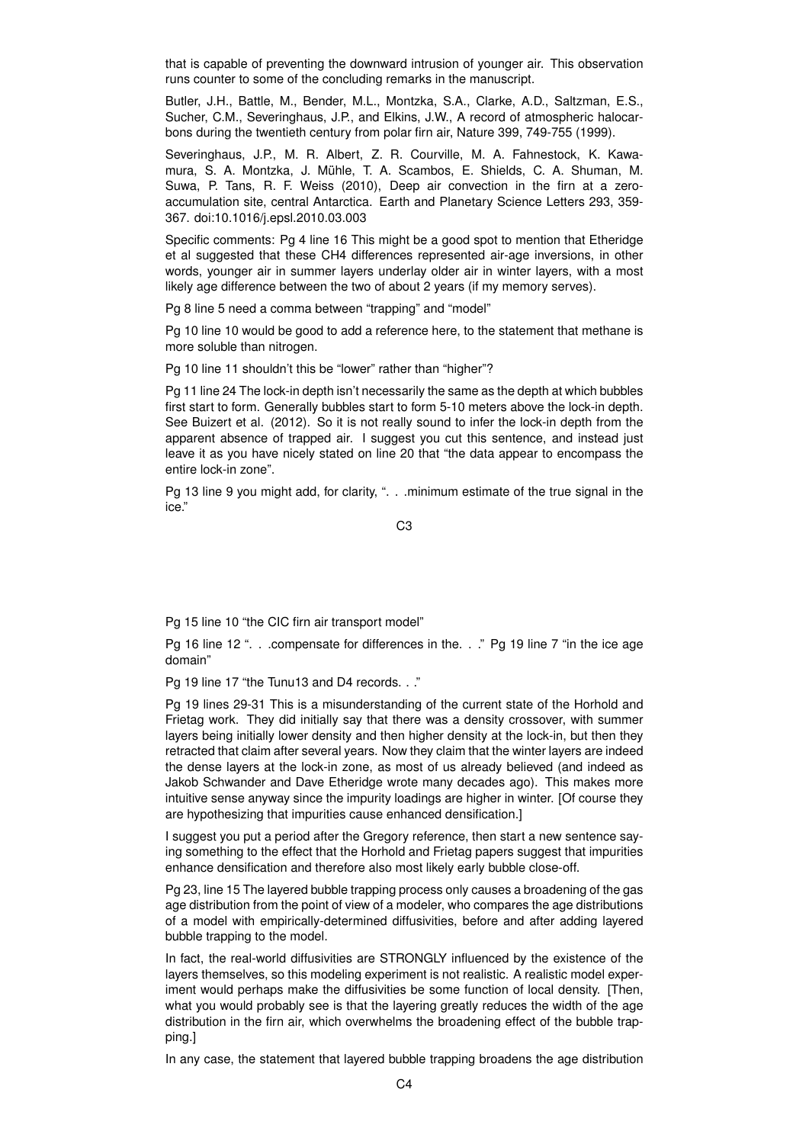that is capable of preventing the downward intrusion of younger air. This observation runs counter to some of the concluding remarks in the manuscript.

Butler, J.H., Battle, M., Bender, M.L., Montzka, S.A., Clarke, A.D., Saltzman, E.S., Sucher, C.M., Severinghaus, J.P., and Elkins, J.W., A record of atmospheric halocarbons during the twentieth century from polar firn air, Nature 399, 749-755 (1999).

Severinghaus, J.P., M. R. Albert, Z. R. Courville, M. A. Fahnestock, K. Kawamura, S. A. Montzka, J. Mühle, T. A. Scambos, E. Shields, C. A. Shuman, M. Suwa, P. Tans, R. F. Weiss (2010), Deep air convection in the firn at a zeroaccumulation site, central Antarctica. Earth and Planetary Science Letters 293, 359- 367. doi:10.1016/j.epsl.2010.03.003

Specific comments: Pg 4 line 16 This might be a good spot to mention that Etheridge et al suggested that these CH4 differences represented air-age inversions, in other words, younger air in summer layers underlay older air in winter layers, with a most likely age difference between the two of about 2 years (if my memory serves).

Pg 8 line 5 need a comma between "trapping" and "model"

Pg 10 line 10 would be good to add a reference here, to the statement that methane is more soluble than nitrogen.

Pg 10 line 11 shouldn't this be "lower" rather than "higher"?

Pg 11 line 24 The lock-in depth isn't necessarily the same as the depth at which bubbles first start to form. Generally bubbles start to form 5-10 meters above the lock-in depth. See Buizert et al. (2012). So it is not really sound to infer the lock-in depth from the apparent absence of trapped air. I suggest you cut this sentence, and instead just leave it as you have nicely stated on line 20 that "the data appear to encompass the entire lock-in zone".

Pg 13 line 9 you might add, for clarity, ". . .minimum estimate of the true signal in the ice."

C3

Pg 15 line 10 "the CIC firn air transport model"

Pg 16 line 12 ". . .compensate for differences in the. . ." Pg 19 line 7 "in the ice age domain"

Pg 19 line 17 "the Tunu13 and D4 records. . ."

Pg 19 lines 29-31 This is a misunderstanding of the current state of the Horhold and Frietag work. They did initially say that there was a density crossover, with summer layers being initially lower density and then higher density at the lock-in, but then they retracted that claim after several years. Now they claim that the winter layers are indeed the dense layers at the lock-in zone, as most of us already believed (and indeed as Jakob Schwander and Dave Etheridge wrote many decades ago). This makes more intuitive sense anyway since the impurity loadings are higher in winter. [Of course they are hypothesizing that impurities cause enhanced densification.]

I suggest you put a period after the Gregory reference, then start a new sentence saying something to the effect that the Horhold and Frietag papers suggest that impurities enhance densification and therefore also most likely early bubble close-off.

Pg 23, line 15 The layered bubble trapping process only causes a broadening of the gas age distribution from the point of view of a modeler, who compares the age distributions of a model with empirically-determined diffusivities, before and after adding layered bubble trapping to the model.

In fact, the real-world diffusivities are STRONGLY influenced by the existence of the layers themselves, so this modeling experiment is not realistic. A realistic model experiment would perhaps make the diffusivities be some function of local density. [Then, what you would probably see is that the layering greatly reduces the width of the age distribution in the firn air, which overwhelms the broadening effect of the bubble trapping.]

In any case, the statement that layered bubble trapping broadens the age distribution